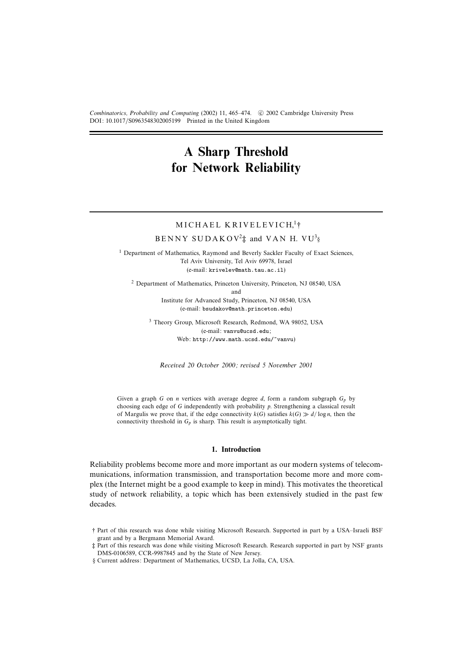Combinatorics, Probability and Computing (2002) 11, 465–474. © 2002 Cambridge University Press DOI: 10.1017/S0963548302005199 Printed in the United Kingdom

# **A Sharp Threshold for Network Reliability**

# MICHAEL KRIVELEVICH.<sup>1</sup>†

# $BENNY SUDAKO V^2$ <sup>†</sup> and VAN H. VU<sup>3</sup>§

<sup>1</sup> Department of Mathematics, Raymond and Beverly Sackler Faculty of Exact Sciences, Tel Aviv University, Tel Aviv 69978, Israel (e-mail: krivelev@math.tau.ac.il)

<sup>2</sup> Department of Mathematics, Princeton University, Princeton, NJ 08540, USA and

Institute for Advanced Study, Princeton, NJ 08540, USA (e-mail: bsudakov@math.princeton.edu)

<sup>3</sup> Theory Group, Microsoft Research, Redmond, WA 98052, USA (e-mail: vanvu@ucsd.edu; Web: http://www.math.ucsd.edu/~vanvu)

Received 20 October 2000; revised 5 November 2001

Given a graph G on n vertices with average degree  $d$ , form a random subgraph  $G_p$  by choosing each edge of G independently with probability p. Strengthening a classical result of Margulis we prove that, if the edge connectivity  $k(G)$  satisfies  $k(G) \gg d/\log n$ , then the connectivity threshold in  $G_p$  is sharp. This result is asymptotically tight.

# **1. Introduction**

Reliability problems become more and more important as our modern systems of telecommunications, information transmission, and transportation become more and more complex (the Internet might be a good example to keep in mind). This motivates the theoretical study of network reliability, a topic which has been extensively studied in the past few decades.

<sup>†</sup> Part of this research was done while visiting Microsoft Research. Supported in part by a USA–Israeli BSF grant and by a Bergmann Memorial Award.

<sup>‡</sup> Part of this research was done while visiting Microsoft Research. Research supported in part by NSF grants DMS-0106589, CCR-9987845 and by the State of New Jersey.

<sup>§</sup> Current address: Department of Mathematics, UCSD, La Jolla, CA, USA.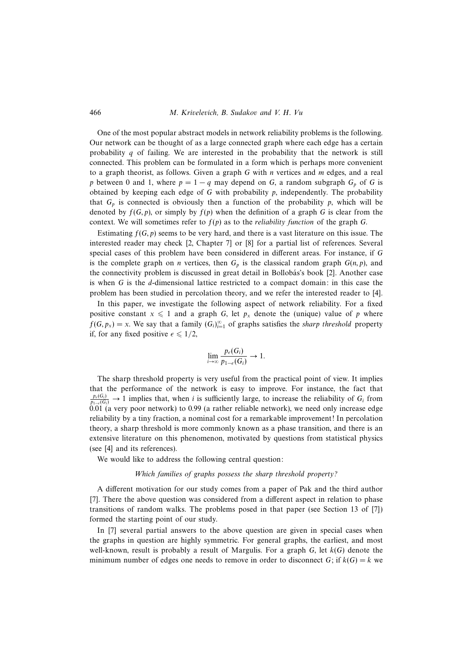# 466 M. Krivelevich, B. Sudakov and V. H. Vu

One of the most popular abstract models in network reliability problems is the following. Our network can be thought of as a large connected graph where each edge has a certain probability  $q$  of failing. We are interested in the probability that the network is still connected. This problem can be formulated in a form which is perhaps more convenient to a graph theorist, as follows. Given a graph  $G$  with n vertices and  $m$  edges, and a real p between 0 and 1, where  $p = 1 - q$  may depend on G, a random subgraph  $G_p$  of G is obtained by keeping each edge of  $G$  with probability  $p$ , independently. The probability that  $G_p$  is connected is obviously then a function of the probability p, which will be denoted by  $f(G, p)$ , or simply by  $f(p)$  when the definition of a graph G is clear from the context. We will sometimes refer to  $f(p)$  as to the *reliability function* of the graph G.

Estimating  $f(G, p)$  seems to be very hard, and there is a vast literature on this issue. The interested reader may check [2, Chapter 7] or [8] for a partial list of references. Several special cases of this problem have been considered in different areas. For instance, if G is the complete graph on *n* vertices, then  $G_p$  is the classical random graph  $G(n, p)$ , and the connectivity problem is discussed in great detail in Bollobás's book [2]. Another case is when  $G$  is the *d*-dimensional lattice restricted to a compact domain: in this case the problem has been studied in percolation theory, and we refer the interested reader to [4].

In this paper, we investigate the following aspect of network reliability. For a fixed positive constant  $x \leq 1$  and a graph G, let  $p_x$  denote the (unique) value of p where  $f(G, p_x) = x$ . We say that a family  $(G_i)_{i=1}^{\infty}$  of graphs satisfies the *sharp threshold* property if, for any fixed positive  $\epsilon \leq 1/2$ ,

$$
\lim_{i\to\infty}\frac{p_{\epsilon}(G_i)}{p_{1-\epsilon}(G_i)}\to 1.
$$

The sharp threshold property is very useful from the practical point of view. It implies that the performance of the network is easy to improve. For instance, the fact that  $\frac{p_e(G_i)}{p_{1-e}(G_i)} \to 1$  implies that, when i is sufficiently large, to increase the reliability of  $G_i$  from 0.01 (a very poor network) to 0.99 (a rather reliable network), we need only increase edge reliability by a tiny fraction, a nominal cost for a remarkable improvement! In percolation theory, a sharp threshold is more commonly known as a phase transition, and there is an extensive literature on this phenomenon, motivated by questions from statistical physics (see [4] and its references).

We would like to address the following central question:

#### Which families of graphs possess the sharp threshold property?

A different motivation for our study comes from a paper of Pak and the third author [7]. There the above question was considered from a different aspect in relation to phase transitions of random walks. The problems posed in that paper (see Section 13 of [7]) formed the starting point of our study.

In [7] several partial answers to the above question are given in special cases when the graphs in question are highly symmetric. For general graphs, the earliest, and most well-known, result is probably a result of Margulis. For a graph  $G$ , let  $k(G)$  denote the minimum number of edges one needs to remove in order to disconnect G; if  $k(G) = k$  we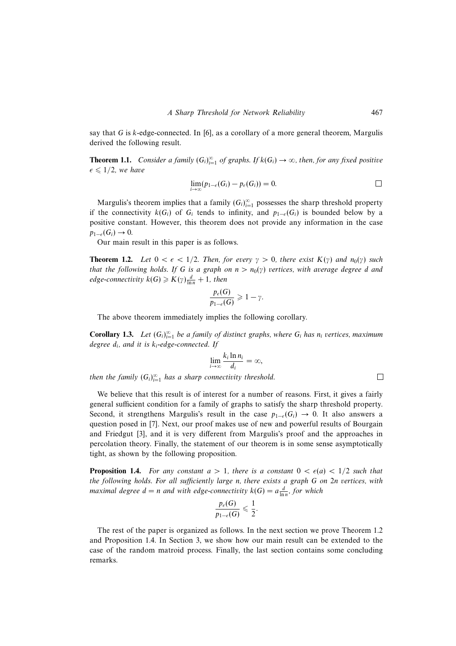say that G is  $k$ -edge-connected. In [6], as a corollary of a more general theorem, Margulis derived the following result.

**Theorem 1.1.** Consider a family  $(G_i)_{i=1}^{\infty}$  of graphs. If  $k(G_i) \to \infty$ , then, for any fixed positive  $\epsilon \leq 1/2$ , we have

$$
\lim_{i\to\infty}(p_{1-\epsilon}(G_i)-p_{\epsilon}(G_i))=0.\qquad \qquad \Box
$$

 $\Box$ 

Margulis's theorem implies that a family  $(G_i)_{i=1}^{\infty}$  possesses the sharp threshold property if the connectivity  $k(G_i)$  of  $G_i$  tends to infinity, and  $p_{1-\epsilon}(G_i)$  is bounded below by a positive constant. However, this theorem does not provide any information in the case  $p_{1-\epsilon}(G_i) \to 0.$ 

Our main result in this paper is as follows.

**Theorem 1.2.** Let  $0 < \epsilon < 1/2$ . Then, for every  $\gamma > 0$ , there exist  $K(\gamma)$  and  $n_0(\gamma)$  such that the following holds. If G is a graph on  $n>n_0(\gamma)$  vertices, with average degree d and edge-connectivity  $k(G) \geqslant K(\gamma) \frac{d}{\ln n} + 1$ , then

$$
\frac{p_{\epsilon}(G)}{p_{1-\epsilon}(G)} \geq 1 - \gamma.
$$

The above theorem immediately implies the following corollary.

**Corollary 1.3.** Let  $(G_i)_{i=1}^{\infty}$  be a family of distinct graphs, where  $G_i$  has  $n_i$  vertices, maximum degree  $d_i$ , and it is  $k_i$ -edge-connected. If

$$
\lim_{i\to\infty}\frac{k_i\ln n_i}{d_i}=\infty,
$$

then the family  $(G_i)_{i=1}^{\infty}$  has a sharp connectivity threshold.

We believe that this result is of interest for a number of reasons. First, it gives a fairly general sufficient condition for a family of graphs to satisfy the sharp threshold property. Second, it strengthens Margulis's result in the case  $p_{1-\epsilon}(G_i) \to 0$ . It also answers a question posed in [7]. Next, our proof makes use of new and powerful results of Bourgain and Friedgut [3], and it is very different from Margulis's proof and the approaches in percolation theory. Finally, the statement of our theorem is in some sense asymptotically tight, as shown by the following proposition.

**Proposition 1.4.** For any constant  $a > 1$ , there is a constant  $0 < \epsilon(a) < 1/2$  such that the following holds. For all sufficiently large n, there exists a graph G on 2n vertices, with maximal degree  $d = n$  and with edge-connectivity  $k(G) = a \frac{d}{\ln n}$ , for which

$$
\frac{p_{\epsilon}(G)}{p_{1-\epsilon}(G)} \leqslant \frac{1}{2}.
$$

The rest of the paper is organized as follows. In the next section we prove Theorem 1.2 and Proposition 1.4. In Section 3, we show how our main result can be extended to the case of the random matroid process. Finally, the last section contains some concluding remarks.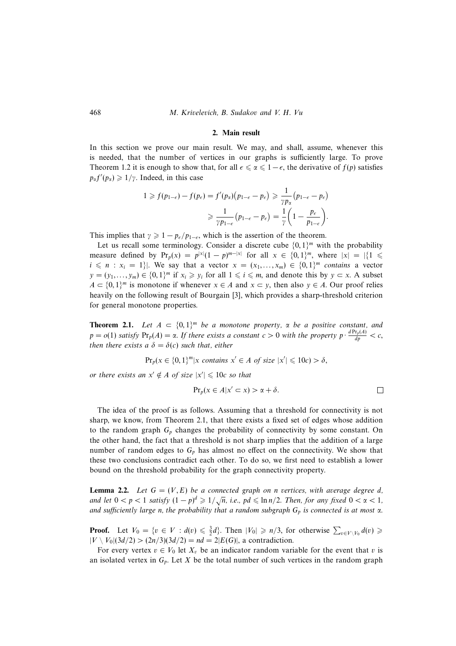## 468 M. Krivelevich, B. Sudakov and V. H. Vu

## **2. Main result**

In this section we prove our main result. We may, and shall, assume, whenever this is needed, that the number of vertices in our graphs is sufficiently large. To prove Theorem 1.2 it is enough to show that, for all  $\epsilon \leq \alpha \leq 1-\epsilon$ , the derivative of  $f(p)$  satisfies  $p_{\alpha}f'(p_{\alpha}) \geq 1/\gamma$ . Indeed, in this case

$$
1 \ge f(p_{1-\epsilon}) - f(p_{\epsilon}) = f'(p_{\alpha})(p_{1-\epsilon} - p_{\epsilon}) \ge \frac{1}{\gamma p_{\alpha}}(p_{1-\epsilon} - p_{\epsilon})
$$

$$
\ge \frac{1}{\gamma p_{1-\epsilon}}(p_{1-\epsilon} - p_{\epsilon}) = \frac{1}{\gamma} \left(1 - \frac{p_{\epsilon}}{p_{1-\epsilon}}\right).
$$

This implies that  $\gamma \geq 1 - p_{\epsilon}/p_{1-\epsilon}$ , which is the assertion of the theorem.

Let us recall some terminology. Consider a discrete cube  $\{0, 1\}^m$  with the probability measure defined by  $Pr_p(x) = p^{|x|}(1-p)^{m-|x|}$  for all  $x \in \{0,1\}^m$ , where  $|x| = |\{1 \le$  $i \leq n : x_i = 1$ . We say that a vector  $x = (x_1, \ldots, x_m) \in \{0, 1\}^m$  contains a vector  $y = (y_1, \ldots, y_m) \in \{0, 1\}^m$  if  $x_i \geq y_i$  for all  $1 \leq i \leq m$ , and denote this by  $y \subset x$ . A subset  $A \subset \{0,1\}^m$  is monotone if whenever  $x \in A$  and  $x \subset y$ , then also  $y \in A$ . Our proof relies heavily on the following result of Bourgain [3], which provides a sharp-threshold criterion for general monotone properties.

**Theorem 2.1.** Let  $A \subset \{0,1\}^m$  be a monotone property,  $\alpha$  be a positive constant, and  $p = o(1)$  satisfy  $Pr_p(A) = \alpha$ . If there exists a constant  $c > 0$  with the property  $p \cdot \frac{dPr_p(A)}{dp} < c$ , then there exists a  $\delta = \delta(c)$  such that, either

$$
\Pr_p(x \in \{0,1\}^m | x \text{ contains } x' \in A \text{ of size } |x'| \leq 10c) > \delta,
$$

or there exists an  $x' \notin A$  of size  $|x'| \leq 10c$  so that

$$
\Pr_p(x \in A | x' \subset x) > \alpha + \delta.
$$

The idea of the proof is as follows. Assuming that a threshold for connectivity is not sharp, we know, from Theorem 2.1, that there exists a fixed set of edges whose addition to the random graph  $G_p$  changes the probability of connectivity by some constant. On the other hand, the fact that a threshold is not sharp implies that the addition of a large number of random edges to  $G_p$  has almost no effect on the connectivity. We show that these two conclusions contradict each other. To do so, we first need to establish a lower bound on the threshold probability for the graph connectivity property.

**Lemma 2.2.** Let  $G = (V, E)$  be a connected graph on n vertices, with average degree d, **EXECUTE:** Let  $G = (r, L)$  be a connected graph on *n* certices, what decrige degree as and let  $0 < p < 1$  satisfy  $(1 - p)^d \ge 1/\sqrt{n}$ , i.e.,  $pd \le \ln n/2$ . Then, for any fixed  $0 < \alpha < 1$ , and sufficiently large n, the probability that a random subgraph  $G_p$  is connected is at most  $\alpha$ .

**Proof.** Let  $V_0 = \{v \in V : d(v) \leq \frac{3}{2}d\}$ . Then  $|V_0| \geq n/3$ , for otherwise  $\sum_{v \in V\setminus V_0} d(v) \geq$  $|V \setminus V_0|(3d/2) > (2n/3)(3d/2) = nd = 2|E(G)|$ , a contradiction.

For every vertex  $v \in V_0$  let  $X_v$  be an indicator random variable for the event that v is an isolated vertex in  $G_p$ . Let X be the total number of such vertices in the random graph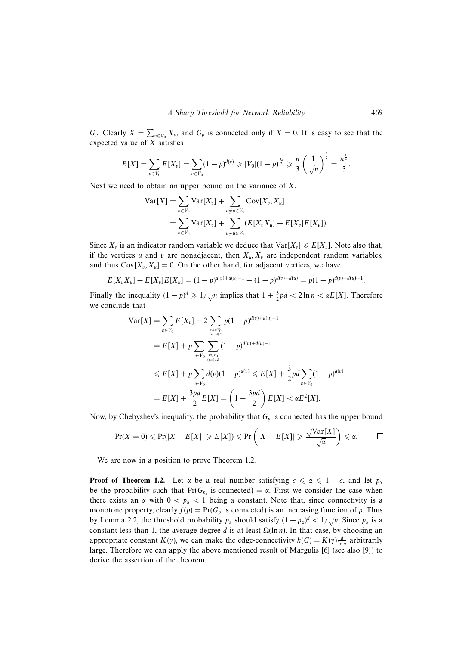$G_p$ . Clearly  $X = \sum_{v \in V_0} X_v$ , and  $G_p$  is connected only if  $X = 0$ . It is easy to see that the expected value of  $X$  satisfies

$$
E[X] = \sum_{v \in V_0} E[X_v] = \sum_{v \in V_0} (1-p)^{d(v)} \geqslant |V_0|(1-p)^{\frac{3d}{2}} \geqslant \frac{n}{3} \left(\frac{1}{\sqrt{n}}\right)^{\frac{3}{2}} = \frac{n^{\frac{1}{4}}}{3}.
$$

Next we need to obtain an upper bound on the variance of X.

$$
\begin{aligned} \text{Var}[X] &= \sum_{v \in V_0} \text{Var}[X_v] + \sum_{v \neq u \in V_0} \text{Cov}[X_v, X_u] \\ &= \sum_{v \in V_0} \text{Var}[X_v] + \sum_{v \neq u \in V_0} (E[X_v X_u] - E[X_v] E[X_u]). \end{aligned}
$$

Since  $X_v$  is an indicator random variable we deduce that  $Var[X_v] \le E[X_v]$ . Note also that, if the vertices u and v are nonadjacent, then  $X_u, X_v$  are independent random variables, and thus  $Cov[X_v, X_u] = 0$ . On the other hand, for adjacent vertices, we have

$$
E[X_v X_u] - E[X_v]E[X_u] = (1-p)^{d(v)+d(u)-1} - (1-p)^{d(v)+d(u)} = p(1-p)^{d(v)+d(u)-1}.
$$

Finally the inequality  $(1 - p)^d \geq 1/\sqrt{n}$  implies that  $1 + \frac{3}{2}pd < 2 \ln n < \alpha E[X]$ . Therefore we conclude that

$$
\begin{split} \text{Var}[X] &= \sum_{v \in V_0} E[X_v] + 2 \sum_{v, u \in V_0 \atop (v, u) \in E} p(1-p)^{d(v) + d(u) - 1} \\ &= E[X] + p \sum_{v \in V_0} \sum_{u \in V_0 \atop (u, v) \in E} (1-p)^{d(v) + d(u) - 1} \\ &\le E[X] + p \sum_{v \in V_0} d(v)(1-p)^{d(v)} \le E[X] + \frac{3}{2}pd \sum_{v \in V_0} (1-p)^{d(v)} \\ &= E[X] + \frac{3pd}{2} E[X] = \left(1 + \frac{3pd}{2}\right) E[X] < \alpha E^2[X]. \end{split}
$$

Now, by Chebyshev's inequality, the probability that  $G_p$  is connected has the upper bound

$$
\Pr(X=0) \leqslant \Pr(|X - E[X]| \geqslant E[X]) \leqslant \Pr\left(|X - E[X]| \geqslant \frac{\sqrt{\text{Var}[X]}}{\sqrt{\alpha}}\right) \leqslant \alpha. \qquad \Box
$$

We are now in a position to prove Theorem 1.2.

**Proof of Theorem 1.2.** Let  $\alpha$  be a real number satisfying  $\epsilon \le \alpha \le 1 - \epsilon$ , and let  $p_{\alpha}$ be the probability such that Pr( $G_{p_\alpha}$  is connected) =  $\alpha$ . First we consider the case when there exists an  $\alpha$  with  $0 < p_{\alpha} < 1$  being a constant. Note that, since connectivity is a monotone property, clearly  $f(p) = Pr(G_p$  is connected) is an increasing function of p. Thus by Lemma 2.2, the threshold probability  $p_{\alpha}$  should satisfy  $(1 - p_{\alpha})^d < 1/\sqrt{n}$ . Since  $p_{\alpha}$  is a constant less than 1, the average degree d is at least  $\Omega(\ln n)$ . In that case, by choosing an appropriate constant  $K(\gamma)$ , we can make the edge-connectivity  $k(G) = K(\gamma) \frac{d}{\ln n}$  arbitrarily large. Therefore we can apply the above mentioned result of Margulis [6] (see also [9]) to derive the assertion of the theorem.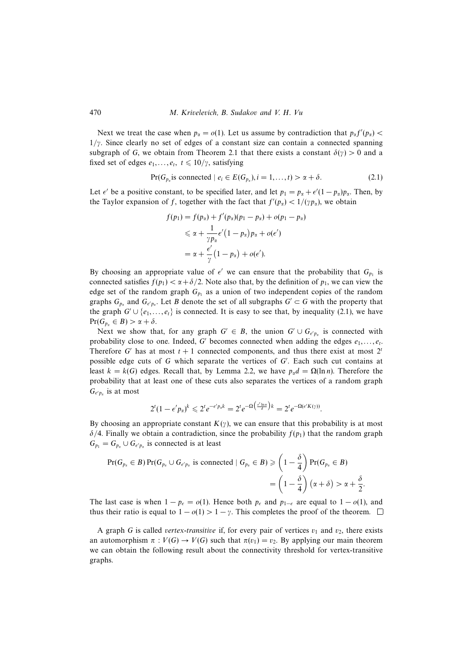Next we treat the case when  $p_{\alpha} = o(1)$ . Let us assume by contradiction that  $p_{\alpha}f'(p_{\alpha}) <$  $1/\gamma$ . Since clearly no set of edges of a constant size can contain a connected spanning subgraph of G, we obtain from Theorem 2.1 that there exists a constant  $\delta(\gamma) > 0$  and a fixed set of edges  $e_1, \ldots, e_t, t \leq 10/\gamma$ , satisfying

$$
Pr(G_{p_{\alpha}} \text{is connected} \mid e_i \in E(G_{p_{\alpha}}), i = 1, \dots, t) > \alpha + \delta. \tag{2.1}
$$

Let  $\epsilon'$  be a positive constant, to be specified later, and let  $p_1 = p_\alpha + \epsilon'(1 - p_\alpha)p_\alpha$ . Then, by the Taylor expansion of f, together with the fact that  $f'(p_\alpha) < 1/(\gamma p_\alpha)$ , we obtain

$$
f(p_1) = f(p_\alpha) + f'(p_\alpha)(p_1 - p_\alpha) + o(p_1 - p_\alpha)
$$
  
\n
$$
\leq \alpha + \frac{1}{\gamma p_\alpha} \epsilon'(1 - p_\alpha)p_\alpha + o(\epsilon')
$$
  
\n
$$
= \alpha + \frac{\epsilon'}{\gamma}(1 - p_\alpha) + o(\epsilon').
$$

By choosing an appropriate value of  $\epsilon'$  we can ensure that the probability that  $G_{p_1}$  is connected satisfies  $f(p_1) < \alpha + \delta/2$ . Note also that, by the definition of  $p_1$ , we can view the edge set of the random graph  $G_{p_1}$  as a union of two independent copies of the random graphs  $G_{p_\alpha}$  and  $G_{\epsilon' p_\alpha}$ . Let B denote the set of all subgraphs  $G' \subset G$  with the property that the graph  $G' \cup \{e_1,\ldots,e_t\}$  is connected. It is easy to see that, by inequality (2.1), we have  $Pr(G_{p_{\alpha}} \in B) > \alpha + \delta.$ 

Next we show that, for any graph  $G' \in B$ , the union  $G' \cup G_{\epsilon' p_\alpha}$  is connected with probability close to one. Indeed, G' becomes connected when adding the edges  $e_1, \ldots, e_t$ . Therefore G' has at most  $t + 1$  connected components, and thus there exist at most  $2^t$ possible edge cuts of  $G$  which separate the vertices of  $G'$ . Each such cut contains at least  $k = k(G)$  edges. Recall that, by Lemma 2.2, we have  $p_{\alpha}d = \Omega(\ln n)$ . Therefore the probability that at least one of these cuts also separates the vertices of a random graph  $G_{\epsilon' p_\alpha}$  is at most

$$
2^t(1-\epsilon'p_\alpha)^k\leqslant 2^t e^{-\epsilon'p_\alpha k}=2^t e^{-\Omega\left(\frac{\epsilon'\ln n}{d}\right)k}=2^t e^{-\Omega(\epsilon' K(\gamma))}.
$$

By choosing an appropriate constant  $K(\gamma)$ , we can ensure that this probability is at most  $\delta/4$ . Finally we obtain a contradiction, since the probability  $f(p_1)$  that the random graph  $G_{p_1} = G_{p_\alpha} \cup G_{\epsilon' p_\alpha}$  is connected is at least

$$
Pr(G_{p_{\alpha}} \in B) Pr(G_{p_{\alpha}} \cup G_{\epsilon' p_{\alpha}} \text{ is connected} \mid G_{p_{\alpha}} \in B) \geq \left(1 - \frac{\delta}{4}\right) Pr(G_{p_{\alpha}} \in B)
$$
  
= 
$$
\left(1 - \frac{\delta}{4}\right)(\alpha + \delta) > \alpha + \frac{\delta}{2}.
$$

The last case is when  $1 - p_{\epsilon} = o(1)$ . Hence both  $p_{\epsilon}$  and  $p_{1-\epsilon}$  are equal to  $1 - o(1)$ , and thus their ratio is equal to  $1 - o(1) > 1 - \gamma$ . This completes the proof of the theorem.  $\Box$ 

A graph G is called vertex-transitive if, for every pair of vertices  $v_1$  and  $v_2$ , there exists an automorphism  $\pi : V(G) \to V(G)$  such that  $\pi(v_1) = v_2$ . By applying our main theorem we can obtain the following result about the connectivity threshold for vertex-transitive graphs.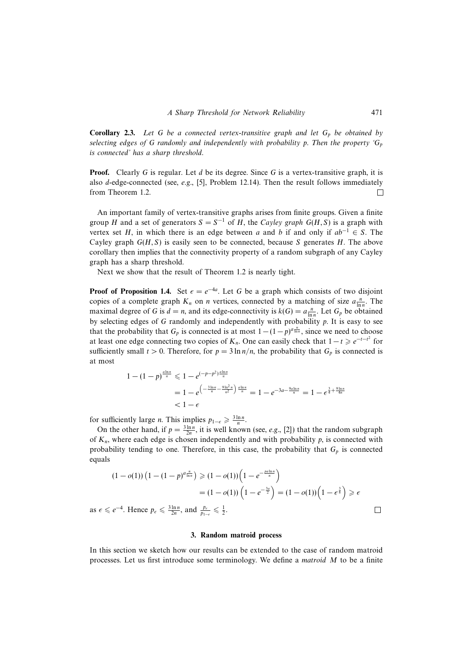**Corollary 2.3.** Let G be a connected vertex-transitive graph and let  $G_p$  be obtained by selecting edges of G randomly and independently with probability p. Then the property  $G_p$ is connected' has a sharp threshold.

**Proof.** Clearly G is regular. Let d be its degree. Since G is a vertex-transitive graph, it is also  $d$ -edge-connected (see, e.g., [5], Problem 12.14). Then the result follows immediately from Theorem 1.2.  $\Box$ 

An important family of vertex-transitive graphs arises from finite groups. Given a finite group H and a set of generators  $S = S^{-1}$  of H, the Cayley graph  $G(H, S)$  is a graph with vertex set H, in which there is an edge between a and b if and only if  $ab^{-1} \in S$ . The Cayley graph  $G(H, S)$  is easily seen to be connected, because S generates H. The above corollary then implies that the connectivity property of a random subgraph of any Cayley graph has a sharp threshold.

Next we show that the result of Theorem 1.2 is nearly tight.

**Proof of Proposition 1.4.** Set  $\epsilon = e^{-4a}$ . Let G be a graph which consists of two disjoint copies of a complete graph  $K_n$  on *n* vertices, connected by a matching of size  $a_{\ln n}^n$ . The maximal degree of G is  $d = n$ , and its edge-connectivity is  $k(G) = a \frac{n}{\ln n}$ . Let  $G_p$  be obtained by selecting edges of  $G$  randomly and independently with probability  $p$ . It is easy to see that the probability that  $G_p$  is connected is at most  $1-(1-p)^{a\frac{n}{\ln n}}$ , since we need to choose at least one edge connecting two copies of  $K_n$ . One can easily check that  $1-t \geq e^{-t-t^2}$  for sufficiently small  $t > 0$ . Therefore, for  $p = 3 \ln n/n$ , the probability that  $G_p$  is connected is at most

$$
1 - (1 - p)^{\frac{d \ln n}{n}} \leq 1 - e^{(-p - p^2) \frac{d \ln n}{n}}
$$
  
= 
$$
1 - e^{\left(-\frac{3 \ln n}{n} - \frac{9 \ln^2 n}{n^2}\right) \frac{d \ln n}{n}} = 1 - e^{-3a - \frac{9a \ln n}{n}} = 1 - e^{\frac{3}{4} + \frac{9 \ln n}{4n}}
$$
  
< 
$$
< 1 - \epsilon
$$

for sufficiently large *n*. This implies  $p_{1-\epsilon} \geq \frac{3 \ln n}{n}$ .

On the other hand, if  $p = \frac{3 \ln n}{2n}$ , it is well known (see, e.g., [2]) that the random subgraph of  $K_n$ , where each edge is chosen independently and with probability p, is connected with probability tending to one. Therefore, in this case, the probability that  $G_p$  is connected equals

$$
(1 - o(1)) \left(1 - (1 - p)^{a \frac{n}{\ln n}}\right) \geq (1 - o(1)) \left(1 - e^{-\frac{p a \ln n}{n}}\right)
$$

$$
= (1 - o(1)) \left(1 - e^{-\frac{3a}{2}}\right) = (1 - o(1)) \left(1 - e^{\frac{3}{8}}\right) \geq \epsilon
$$

$$
\leq e^{-4}. \text{ Hence } p_{\epsilon} \leq \frac{3 \ln n}{2n}, \text{ and } \frac{p_{\epsilon}}{p_{1-\epsilon}} \leq \frac{1}{2}.
$$

as  $\epsilon \le e^{-4}$ . Hence  $p_{\epsilon} \le \frac{3 \ln n}{2n}$  $rac{\ln n}{2n}$ , and  $rac{p_e}{p_{1-}}$ 

### **3. Random matroid process**

In this section we sketch how our results can be extended to the case of random matroid processes. Let us first introduce some terminology. We define a matroid M to be a finite

 $\Box$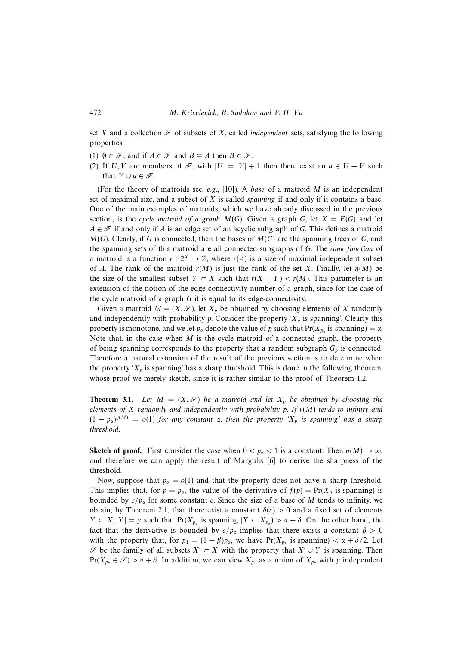set X and a collection  $\mathcal F$  of subsets of X, called *independent* sets, satisfying the following properties.

- (1)  $\emptyset \in \mathcal{F}$ , and if  $A \in \mathcal{F}$  and  $B \subseteq A$  then  $B \in \mathcal{F}$ .
- (2) If U, V are members of  $\mathcal{F}$ , with  $|U| = |V| + 1$  then there exist an  $u \in U V$  such that  $V \cup u \in \mathcal{F}$ .

(For the theory of matroids see, e.g., [10]). A base of a matroid  $M$  is an independent set of maximal size, and a subset of  $X$  is called *spanning* if and only if it contains a base. One of the main examples of matroids, which we have already discussed in the previous section, is the cycle matroid of a graph  $M(G)$ . Given a graph G, let  $X = E(G)$  and let  $A \in \mathcal{F}$  if and only if A is an edge set of an acyclic subgraph of G. This defines a matroid  $M(G)$ . Clearly, if G is connected, then the bases of  $M(G)$  are the spanning trees of G, and the spanning sets of this matroid are all connected subgraphs of G. The rank function of a matroid is a function  $r : 2^X \to \mathbb{Z}$ , where  $r(A)$  is a size of maximal independent subset of A. The rank of the matroid  $r(M)$  is just the rank of the set X. Finally, let  $r(M)$  be the size of the smallest subset  $Y \subset X$  such that  $r(X - Y) < r(M)$ . This parameter is an extension of the notion of the edge-connectivity number of a graph, since for the case of the cycle matroid of a graph G it is equal to its edge-connectivity.

Given a matroid  $M = (X, \mathcal{F})$ , let  $X_p$  be obtained by choosing elements of X randomly and independently with probability p. Consider the property ' $X_p$  is spanning'. Clearly this property is monotone, and we let  $p_{\alpha}$  denote the value of p such that  $Pr(X_{p_{\alpha}})$  is spanning) =  $\alpha$ . Note that, in the case when  $M$  is the cycle matroid of a connected graph, the property of being spanning corresponds to the property that a random subgraph  $G_p$  is connected. Therefore a natural extension of the result of the previous section is to determine when the property ' $X_p$  is spanning' has a sharp threshold. This is done in the following theorem, whose proof we merely sketch, since it is rather similar to the proof of Theorem 1.2.

**Theorem 3.1.** Let  $M = (X, \mathcal{F})$  be a matroid and let  $X_p$  be obtained by choosing the elements of X randomly and independently with probability p. If  $r(M)$  tends to infinity and  $(1 - p_{\alpha})^{\eta(M)} = o(1)$  for any constant  $\alpha$ , then the property ' $X_p$  is spanning' has a sharp threshold.

**Sketch of proof.** First consider the case when  $0 < p_{\alpha} < 1$  is a constant. Then  $\eta(M) \to \infty$ , and therefore we can apply the result of Margulis [6] to derive the sharpness of the threshold.

Now, suppose that  $p_{\alpha} = o(1)$  and that the property does not have a sharp threshold. This implies that, for  $p = p_{\alpha}$ , the value of the derivative of  $f(p) = Pr(X_p$  is spanning) is bounded by  $c/p_\alpha$  for some constant c. Since the size of a base of M tends to infinity, we obtain, by Theorem 2.1, that there exist a constant  $\delta(c) > 0$  and a fixed set of elements  $Y \subset X, |Y| = y$  such that  $Pr(X_{p_{\alpha}} \text{ is spanning } | Y \subset X_{p_{\alpha}}) > \alpha + \delta$ . On the other hand, the fact that the derivative is bounded by  $c/p_\alpha$  implies that there exists a constant  $\beta > 0$ with the property that, for  $p_1 = (1 + \beta)p_\alpha$ , we have  $Pr(X_{p_1} \text{ is spanning}) < \alpha + \delta/2$ . Let S be the family of all subsets  $X' \subset X$  with the property that  $X' \cup Y$  is spanning. Then  $Pr(X_{p_\alpha} \in \mathcal{S}) > \alpha + \delta$ . In addition, we can view  $X_{p_1}$  as a union of  $X_{p_\alpha}$  with y independent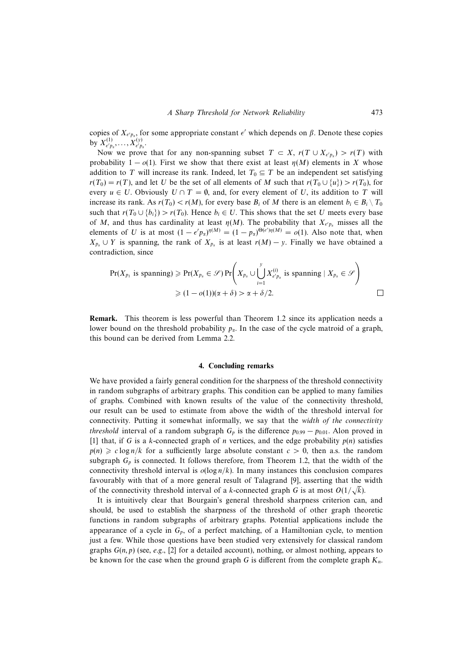copies of  $X_{\epsilon' p_x}$ , for some appropriate constant  $\epsilon'$  which depends on β. Denote these copies by  $X^{(1)}_{\epsilon' p_\alpha}, \ldots, X^{(y)}_{\epsilon' p_\alpha}.$ 

Now we prove that for any non-spanning subset  $T \subset X$ ,  $r(T \cup X_{e'p_x}) > r(T)$  with probability  $1 - o(1)$ . First we show that there exist at least  $\eta(M)$  elements in X whose addition to T will increase its rank. Indeed, let  $T_0 \subseteq T$  be an independent set satisfying  $r(T_0) = r(T)$ , and let U be the set of all elements of M such that  $r(T_0 \cup \{u\}) > r(T_0)$ , for every  $u \in U$ . Obviously  $U \cap T = \emptyset$ , and, for every element of U, its addition to T will increase its rank. As  $r(T_0) < r(M)$ , for every base  $B_i$  of M there is an element  $b_i \in B_i \setminus T_0$ such that  $r(T_0 \cup \{b_i\}) > r(T_0)$ . Hence  $b_i \in U$ . This shows that the set U meets every base of M, and thus has cardinality at least  $\eta(M)$ . The probability that  $X_{e'p_\alpha}$  misses all the elements of U is at most  $(1 - \epsilon' p_\alpha)^{\eta(M)} = (1 - p_\alpha)^{\Theta(\epsilon')\eta(M)} = o(1)$ . Also note that, when  $X_{p_{\alpha}} \cup Y$  is spanning, the rank of  $X_{p_{\alpha}}$  is at least  $r(M) - y$ . Finally we have obtained a contradiction, since

$$
\Pr(X_{p_1} \text{ is spanning}) \geqslant \Pr(X_{p_\alpha} \in \mathcal{S}) \Pr\left(X_{p_\alpha} \cup \bigcup_{i=1}^y X_{\epsilon' p_\alpha}^{(i)} \text{ is spanning} \mid X_{p_\alpha} \in \mathcal{S}\right)
$$
  

$$
\geqslant (1 - o(1))(\alpha + \delta) > \alpha + \delta/2.
$$

**Remark.** This theorem is less powerful than Theorem 1.2 since its application needs a lower bound on the threshold probability  $p_{\alpha}$ . In the case of the cycle matroid of a graph, this bound can be derived from Lemma 2.2.

#### **4. Concluding remarks**

We have provided a fairly general condition for the sharpness of the threshold connectivity in random subgraphs of arbitrary graphs. This condition can be applied to many families of graphs. Combined with known results of the value of the connectivity threshold, our result can be used to estimate from above the width of the threshold interval for connectivity. Putting it somewhat informally, we say that the width of the connectivity *threshold* interval of a random subgraph  $G_p$  is the difference  $p_{0.99} - p_{0.01}$ . Alon proved in [1] that, if G is a k-connected graph of n vertices, and the edge probability  $p(n)$  satisfies  $p(n) \geq c \log n/k$  for a sufficiently large absolute constant  $c > 0$ , then a.s. the random subgraph  $G_p$  is connected. It follows therefore, from Theorem 1.2, that the width of the connectivity threshold interval is  $o(log n/k)$ . In many instances this conclusion compares favourably with that of a more general result of Talagrand [9], asserting that the width of the connectivity threshold interval of a k-connected graph G is at most  $O(1/\sqrt{k})$ .

It is intuitively clear that Bourgain's general threshold sharpness criterion can, and should, be used to establish the sharpness of the threshold of other graph theoretic functions in random subgraphs of arbitrary graphs. Potential applications include the appearance of a cycle in  $G_p$ , of a perfect matching, of a Hamiltonian cycle, to mention just a few. While those questions have been studied very extensively for classical random graphs  $G(n, p)$  (see, e.g., [2] for a detailed account), nothing, or almost nothing, appears to be known for the case when the ground graph G is different from the complete graph  $K_n$ .